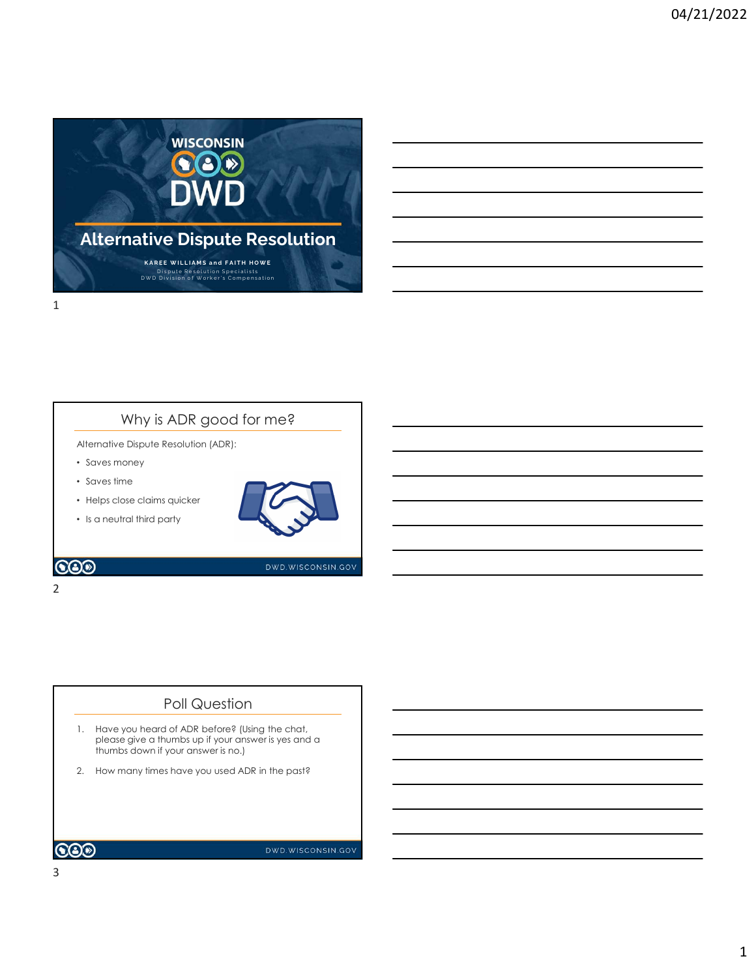

# Why is ADR good for me?

Alternative Dispute Resolution (ADR):

- Saves money
- Saves time
- Helps close claims quicker





## Poll Question

- please give a thumbs up if your answer is yes and a thumbs down if your answer is no.)
-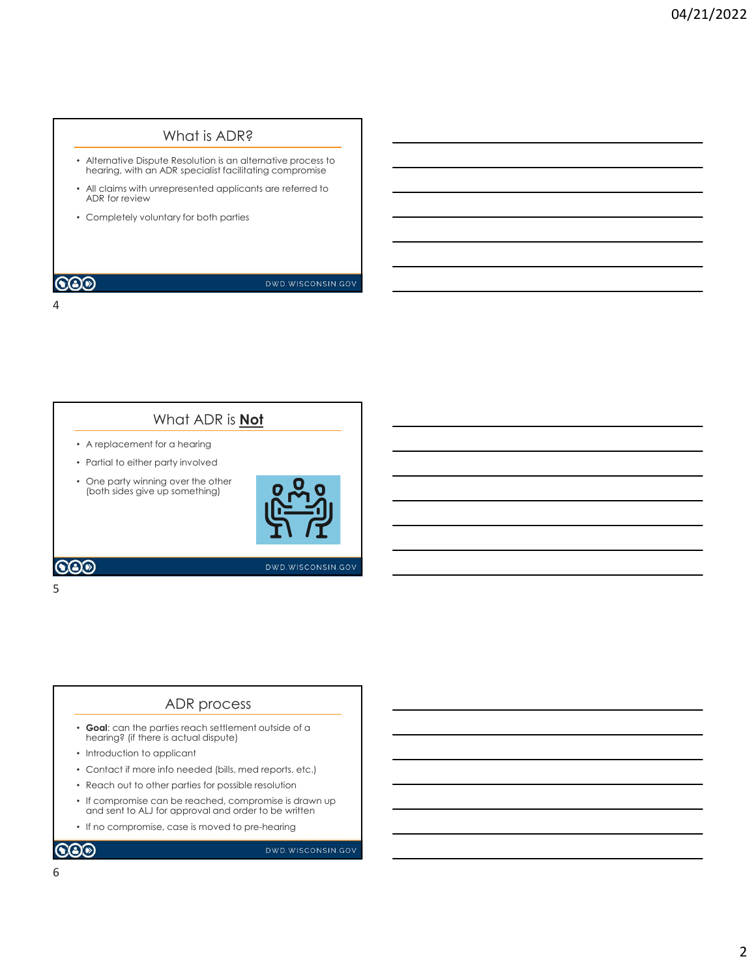# What is ADR?

- Alternative Dispute Resolution is an alternative process to hearing, with an ADR specialist facilitating compromise
- All claims with unrepresented applicants are referred to ADR for review
- Completely voluntary for both parties

4

### **COD**

DWD.WISCONSIN.GOV

# What ADR is **Not**

- A replacement for a hearing
- Partial to either party involved
- One party winning over the other (both sides give up something)

 $5<sub>5</sub>$ 



DWD.WISCONSIN.GOV

 $\odot$ 

### ADR process

- Goal: can the parties reach settlement outside of a hearing? (if there is actual dispute)
- Introduction to applicant
- Contact if more info needed (bills, med reports, etc.)
- Reach out to other parties for possible resolution
- If compromise can be reached, compromise is drawn up and sent to ALJ for approval and order to be written
- If no compromise, case is moved to pre-hearing

 $\odot$ 

DWD.WISCONSIN.GOV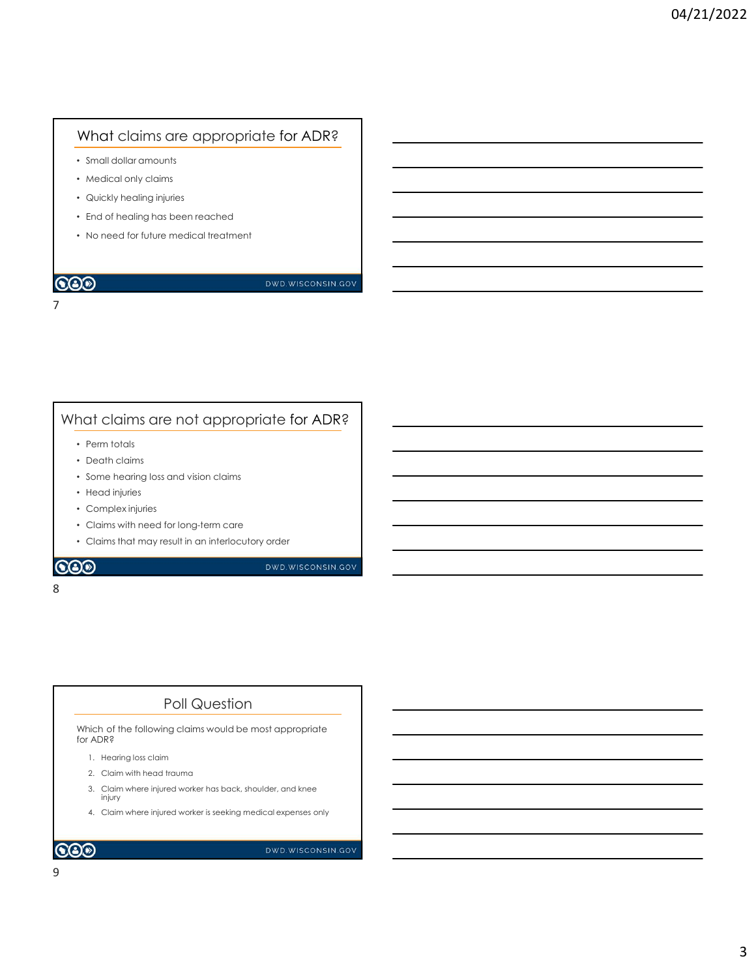# What claims are appropriate for ADR?

- Small dollar amounts
- Medical only claims
- Quickly healing injuries
- End of healing has been reached

7

• No need for future medical treatment

## **COD**

DWD.WISCONSIN.GOV

# What claims are not appropriate for ADR?

- Perm totals
- Death claims
- Some hearing loss and vision claims
- Head injuries
- Complex injuries
- Claims with need for long-term care
- Claims that may result in an interlocutory order

### 8 and 2010 and 2010 and 2010 and 2010 and 2010 and 2010 and 2010 and 2010 and 2010 and 2010 and 2010 and 2010

# Poll Question

Which of the following claims would be most appropriate for ADR? Perm totals<br>
Death claims<br>
Fead in piniss<br>
Edentify loss cand vision claims<br>
Learning loss cand vision claims<br>
Claims with need for long-term care<br>
Death an interlocutory order<br>
Death of the following claims would be most Death claims<br>
Death claims<br>
Head rigiudes<br>
Promplex injuries<br>
Claims with need for long-term care<br>
Claims that may result in an interlocutory order<br> **DEATER SECUTES**<br>
DEATER<br>
DEATER<br>
DEATER<br>
2. Claim with head trauma<br>
2. C 3. Claim where injured worker is seeking medicines and vision claims<br>
Claims with need for long-term care<br>
2. Claims that may result in an interlocutory order<br> **3.** Claims that may result in an interlocutory order<br> **3.** Cl 4. Claim while need for long-term care<br>Claims with need for long-term care<br>Claims that may result in an interlocutory order<br>the state in the material expenses only the state of the following claims would be most appropriat

- 
- 
- injury
-